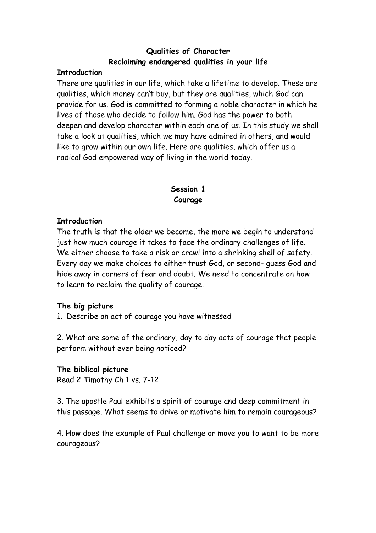# **Qualities of Character Reclaiming endangered qualities in your life**

### **Introduction**

There are qualities in our life, which take a lifetime to develop. These are qualities, which money can't buy, but they are qualities, which God can provide for us. God is committed to forming a noble character in which he lives of those who decide to follow him. God has the power to both deepen and develop character within each one of us. In this study we shall take a look at qualities, which we may have admired in others, and would like to grow within our own life. Here are qualities, which offer us a radical God empowered way of living in the world today.

# **Session 1 Courage**

## **Introduction**

The truth is that the older we become, the more we begin to understand just how much courage it takes to face the ordinary challenges of life. We either choose to take a risk or crawl into a shrinking shell of safety. Every day we make choices to either trust God, or second- guess God and hide away in corners of fear and doubt. We need to concentrate on how to learn to reclaim the quality of courage.

### **The big picture**

1. Describe an act of courage you have witnessed

2. What are some of the ordinary, day to day acts of courage that people perform without ever being noticed?

### **The biblical picture**

Read 2 Timothy Ch 1 vs. 7-12

3. The apostle Paul exhibits a spirit of courage and deep commitment in this passage. What seems to drive or motivate him to remain courageous?

4. How does the example of Paul challenge or move you to want to be more courageous?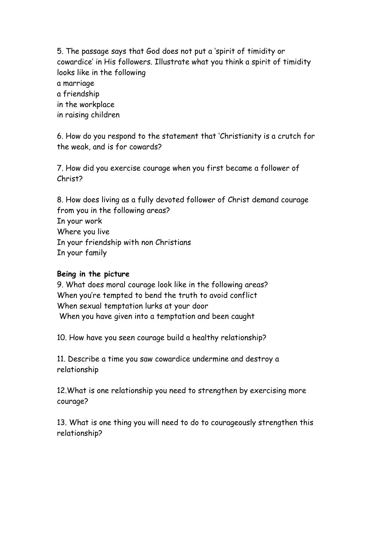5. The passage says that God does not put a 'spirit of timidity or cowardice' in His followers. Illustrate what you think a spirit of timidity looks like in the following a marriage a friendship in the workplace in raising children

6. How do you respond to the statement that 'Christianity is a crutch for the weak, and is for cowards?

7. How did you exercise courage when you first became a follower of Christ?

8. How does living as a fully devoted follower of Christ demand courage from you in the following areas? In your work Where you live In your friendship with non Christians In your family

#### **Being in the picture**

9. What does moral courage look like in the following areas? When you're tempted to bend the truth to avoid conflict When sexual temptation lurks at your door When you have given into a temptation and been caught

10. How have you seen courage build a healthy relationship?

11. Describe a time you saw cowardice undermine and destroy a relationship

12.What is one relationship you need to strengthen by exercising more courage?

13. What is one thing you will need to do to courageously strengthen this relationship?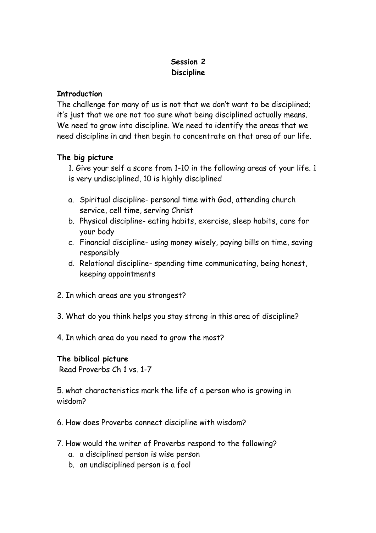# **Session 2 Discipline**

## **Introduction**

The challenge for many of us is not that we don't want to be disciplined; it's just that we are not too sure what being disciplined actually means. We need to grow into discipline. We need to identify the areas that we need discipline in and then begin to concentrate on that area of our life.

# **The big picture**

1. Give your self a score from 1-10 in the following areas of your life. 1 is very undisciplined, 10 is highly disciplined

- a. Spiritual discipline- personal time with God, attending church service, cell time, serving Christ
- b. Physical discipline- eating habits, exercise, sleep habits, care for your body
- c. Financial discipline- using money wisely, paying bills on time, saving responsibly
- d. Relational discipline- spending time communicating, being honest, keeping appointments
- 2. In which areas are you strongest?
- 3. What do you think helps you stay strong in this area of discipline?
- 4. In which area do you need to grow the most?

# **The biblical picture**

Read Proverbs Ch 1 vs. 1-7

5. what characteristics mark the life of a person who is growing in wisdom?

- 6. How does Proverbs connect discipline with wisdom?
- 7. How would the writer of Proverbs respond to the following?
	- a. a disciplined person is wise person
	- b. an undisciplined person is a fool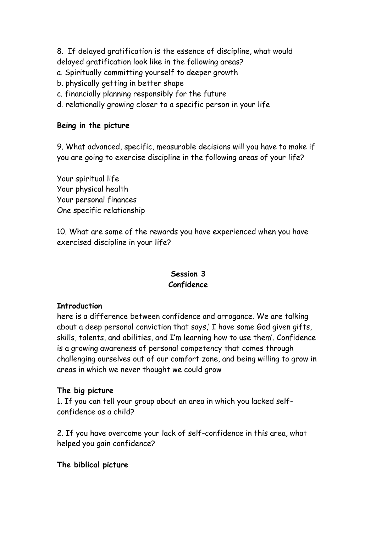8. If delayed gratification is the essence of discipline, what would delayed gratification look like in the following areas?

- a. Spiritually committing yourself to deeper growth
- b. physically getting in better shape
- c. financially planning responsibly for the future
- d. relationally growing closer to a specific person in your life

## **Being in the picture**

9. What advanced, specific, measurable decisions will you have to make if you are going to exercise discipline in the following areas of your life?

Your spiritual life Your physical health Your personal finances One specific relationship

10. What are some of the rewards you have experienced when you have exercised discipline in your life?

# **Session 3 Confidence**

### **Introduction**

here is a difference between confidence and arrogance. We are talking about a deep personal conviction that says,' I have some God given gifts, skills, talents, and abilities, and I'm learning how to use them'. Confidence is a growing awareness of personal competency that comes through challenging ourselves out of our comfort zone, and being willing to grow in areas in which we never thought we could grow

# **The big picture**

1. If you can tell your group about an area in which you lacked selfconfidence as a child?

2. If you have overcome your lack of self-confidence in this area, what helped you gain confidence?

# **The biblical picture**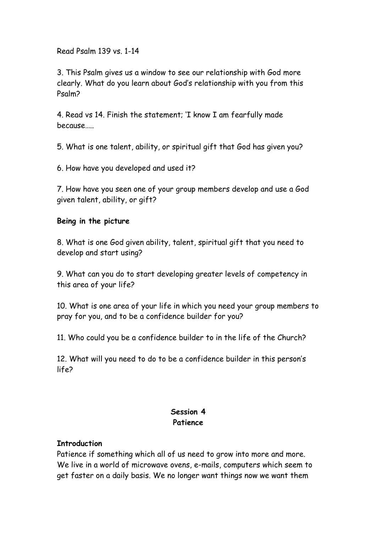Read Psalm 139 vs. 1-14

3. This Psalm gives us a window to see our relationship with God more clearly. What do you learn about God's relationship with you from this Psalm?

4. Read vs 14. Finish the statement; 'I know I am fearfully made because…..

5. What is one talent, ability, or spiritual gift that God has given you?

6. How have you developed and used it?

7. How have you seen one of your group members develop and use a God given talent, ability, or gift?

## **Being in the picture**

8. What is one God given ability, talent, spiritual gift that you need to develop and start using?

9. What can you do to start developing greater levels of competency in this area of your life?

10. What is one area of your life in which you need your group members to pray for you, and to be a confidence builder for you?

11. Who could you be a confidence builder to in the life of the Church?

12. What will you need to do to be a confidence builder in this person's life?

# **Session 4 Patience**

### **Introduction**

Patience if something which all of us need to grow into more and more. We live in a world of microwave ovens, e-mails, computers which seem to get faster on a daily basis. We no longer want things now we want them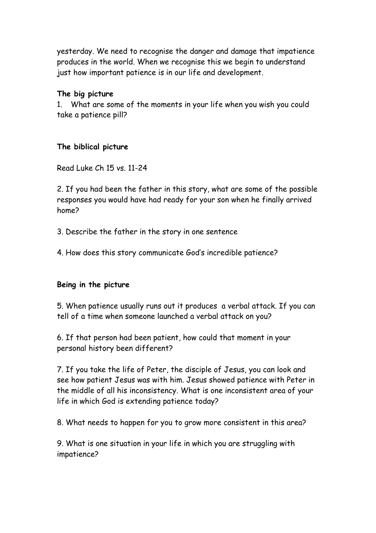yesterday. We need to recognise the danger and damage that impatience produces in the world. When we recognise this we begin to understand just how important patience is in our life and development.

## **The big picture**

1. What are some of the moments in your life when you wish you could take a patience pill?

# **The biblical picture**

Read Luke Ch 15 vs. 11-24

2. If you had been the father in this story, what are some of the possible responses you would have had ready for your son when he finally arrived home?

3. Describe the father in the story in one sentence

4. How does this story communicate God's incredible patience?

# **Being in the picture**

5. When patience usually runs out it produces a verbal attack. If you can tell of a time when someone launched a verbal attack on you?

6. If that person had been patient, how could that moment in your personal history been different?

7. If you take the life of Peter, the disciple of Jesus, you can look and see how patient Jesus was with him. Jesus showed patience with Peter in the middle of all his inconsistency. What is one inconsistent area of your life in which God is extending patience today?

8. What needs to happen for you to grow more consistent in this area?

9. What is one situation in your life in which you are struggling with impatience?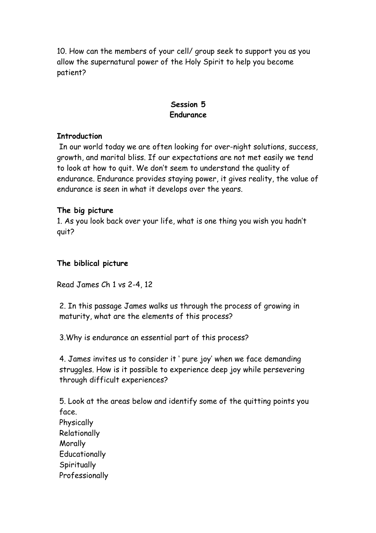10. How can the members of your cell/ group seek to support you as you allow the supernatural power of the Holy Spirit to help you become patient?

## **Session 5 Endurance**

## **Introduction**

 In our world today we are often looking for over-night solutions, success, growth, and marital bliss. If our expectations are not met easily we tend to look at how to quit. We don't seem to understand the quality of endurance. Endurance provides staying power, it gives reality, the value of endurance is seen in what it develops over the years.

## **The big picture**

1. As you look back over your life, what is one thing you wish you hadn't quit?

# **The biblical picture**

Read James Ch 1 vs 2-4, 12

2. In this passage James walks us through the process of growing in maturity, what are the elements of this process?

3.Why is endurance an essential part of this process?

4. James invites us to consider it ' pure joy' when we face demanding struggles. How is it possible to experience deep joy while persevering through difficult experiences?

5. Look at the areas below and identify some of the quitting points you face. Physically Relationally **Morally** Educationally **Spiritually** Professionally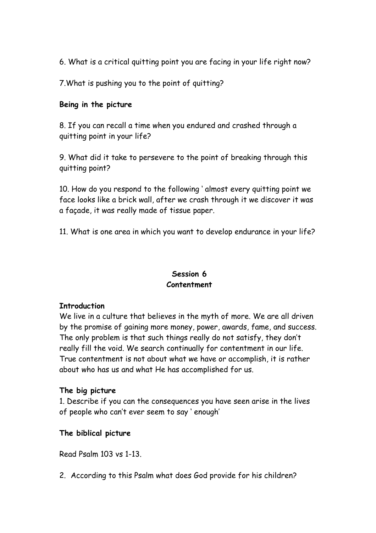6. What is a critical quitting point you are facing in your life right now?

7.What is pushing you to the point of quitting?

#### **Being in the picture**

8. If you can recall a time when you endured and crashed through a quitting point in your life?

9. What did it take to persevere to the point of breaking through this quitting point?

10. How do you respond to the following ' almost every quitting point we face looks like a brick wall, after we crash through it we discover it was a façade, it was really made of tissue paper.

11. What is one area in which you want to develop endurance in your life?

## **Session 6 Contentment**

### **Introduction**

We live in a culture that believes in the myth of more. We are all driven by the promise of gaining more money, power, awards, fame, and success. The only problem is that such things really do not satisfy, they don't really fill the void. We search continually for contentment in our life. True contentment is not about what we have or accomplish, it is rather about who has us and what He has accomplished for us.

#### **The big picture**

1. Describe if you can the consequences you have seen arise in the lives of people who can't ever seem to say ' enough'

### **The biblical picture**

Read Psalm 103 vs 1-13.

2. According to this Psalm what does God provide for his children?